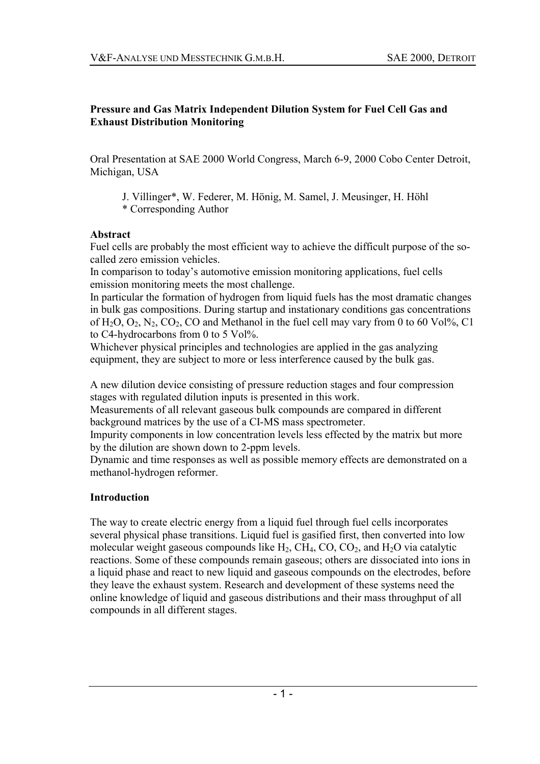#### **Pressure and Gas Matrix Independent Dilution System for Fuel Cell Gas and Exhaust Distribution Monitoring**

Oral Presentation at SAE 2000 World Congress, March 6-9, 2000 Cobo Center Detroit, Michigan, USA

J. Villinger\*, W. Federer, M. Hönig, M. Samel, J. Meusinger, H. Höhl \* Corresponding Author

#### **Abstract**

Fuel cells are probably the most efficient way to achieve the difficult purpose of the socalled zero emission vehicles.

In comparison to today's automotive emission monitoring applications, fuel cells emission monitoring meets the most challenge.

In particular the formation of hydrogen from liquid fuels has the most dramatic changes in bulk gas compositions. During startup and instationary conditions gas concentrations of  $H_2O$ ,  $O_2$ ,  $N_2$ ,  $CO_2$ ,  $CO$  and Methanol in the fuel cell may vary from 0 to 60 Vol%, C1 to C4-hydrocarbons from 0 to 5 Vol%.

Whichever physical principles and technologies are applied in the gas analyzing equipment, they are subject to more or less interference caused by the bulk gas.

A new dilution device consisting of pressure reduction stages and four compression stages with regulated dilution inputs is presented in this work.

Measurements of all relevant gaseous bulk compounds are compared in different background matrices by the use of a CI-MS mass spectrometer.

Impurity components in low concentration levels less effected by the matrix but more by the dilution are shown down to 2-ppm levels.

Dynamic and time responses as well as possible memory effects are demonstrated on a methanol-hydrogen reformer.

### **Introduction**

The way to create electric energy from a liquid fuel through fuel cells incorporates several physical phase transitions. Liquid fuel is gasified first, then converted into low molecular weight gaseous compounds like  $H_2$ , CH<sub>4</sub>, CO, CO<sub>2</sub>, and H<sub>2</sub>O via catalytic reactions. Some of these compounds remain gaseous; others are dissociated into ions in a liquid phase and react to new liquid and gaseous compounds on the electrodes, before they leave the exhaust system. Research and development of these systems need the online knowledge of liquid and gaseous distributions and their mass throughput of all compounds in all different stages.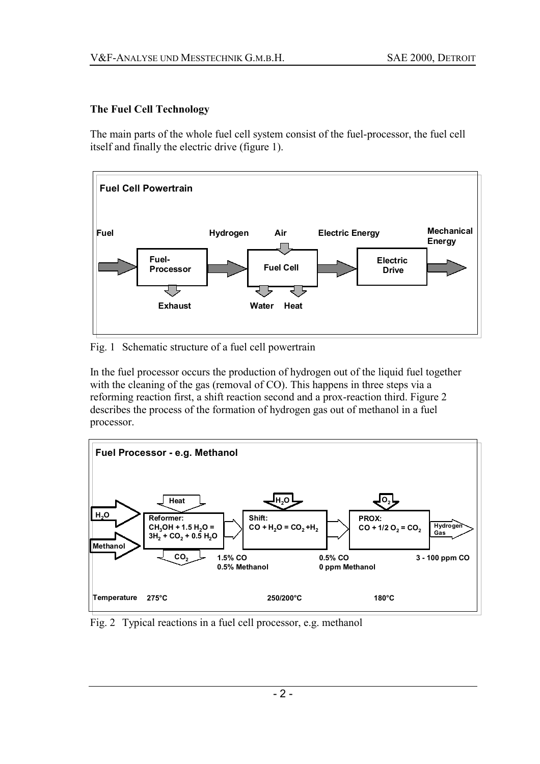## **The Fuel Cell Technology**

The main parts of the whole fuel cell system consist of the fuel-processor, the fuel cell itself and finally the electric drive (figure 1).



Fig. 1 Schematic structure of a fuel cell powertrain

In the fuel processor occurs the production of hydrogen out of the liquid fuel together with the cleaning of the gas (removal of CO). This happens in three steps via a reforming reaction first, a shift reaction second and a prox-reaction third. Figure 2 describes the process of the formation of hydrogen gas out of methanol in a fuel processor.



Fig. 2 Typical reactions in a fuel cell processor, e.g. methanol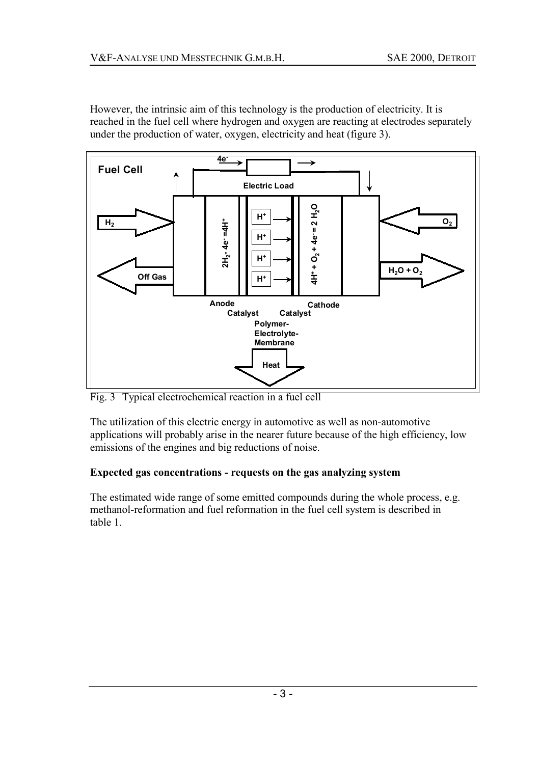However, the intrinsic aim of this technology is the production of electricity. It is reached in the fuel cell where hydrogen and oxygen are reacting at electrodes separately under the production of water, oxygen, electricity and heat (figure 3).



Fig. 3 Typical electrochemical reaction in a fuel cell

The utilization of this electric energy in automotive as well as non-automotive applications will probably arise in the nearer future because of the high efficiency, low emissions of the engines and big reductions of noise.

# **Expected gas concentrations - requests on the gas analyzing system**

The estimated wide range of some emitted compounds during the whole process, e.g. methanol-reformation and fuel reformation in the fuel cell system is described in table 1.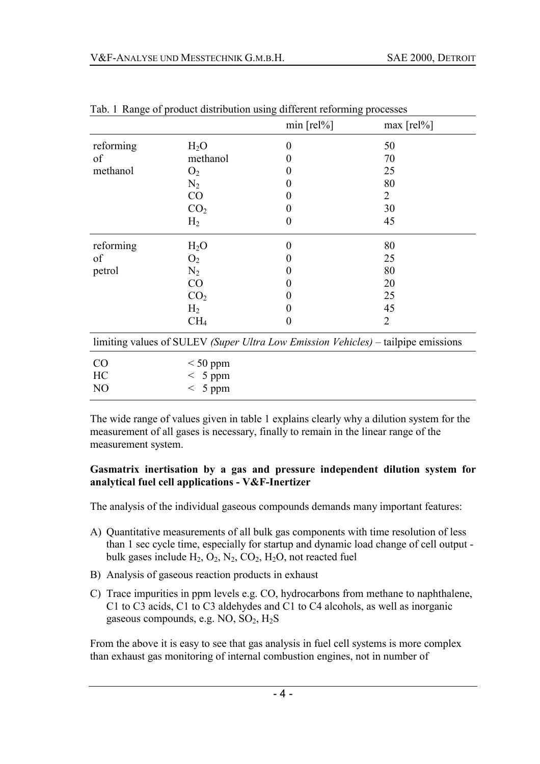|                                                                                   |                  | $min$ [rel%]     | $max [rel\%]$  |  |  |  |
|-----------------------------------------------------------------------------------|------------------|------------------|----------------|--|--|--|
| reforming                                                                         | H <sub>2</sub> O | $\boldsymbol{0}$ | 50             |  |  |  |
| of                                                                                | methanol         | $\boldsymbol{0}$ | 70             |  |  |  |
| methanol                                                                          | O <sub>2</sub>   | 0                | 25             |  |  |  |
|                                                                                   | $N_2$            | $\boldsymbol{0}$ | 80             |  |  |  |
|                                                                                   | CO               | 0                | 2              |  |  |  |
|                                                                                   | CO <sub>2</sub>  | 0                | 30             |  |  |  |
|                                                                                   | H <sub>2</sub>   | $\boldsymbol{0}$ | 45             |  |  |  |
| reforming                                                                         | H <sub>2</sub> O | $\boldsymbol{0}$ | 80             |  |  |  |
| of                                                                                | O <sub>2</sub>   | 0                | 25             |  |  |  |
| petrol                                                                            | $N_2$            | 0                | 80             |  |  |  |
|                                                                                   | CO               | 0                | 20             |  |  |  |
|                                                                                   | CO <sub>2</sub>  | 0                | 25             |  |  |  |
|                                                                                   | H <sub>2</sub>   | $\boldsymbol{0}$ | 45             |  |  |  |
|                                                                                   | CH <sub>4</sub>  | $\boldsymbol{0}$ | $\overline{2}$ |  |  |  |
| limiting values of SULEV (Super Ultra Low Emission Vehicles) – tailpipe emissions |                  |                  |                |  |  |  |
| CO                                                                                | $< 50$ ppm       |                  |                |  |  |  |
| HC                                                                                | $< 5$ ppm        |                  |                |  |  |  |
| N <sub>O</sub>                                                                    | 5 ppm<br>$\,<\,$ |                  |                |  |  |  |

Tab. 1 Range of product distribution using different reforming processes

The wide range of values given in table 1 explains clearly why a dilution system for the measurement of all gases is necessary, finally to remain in the linear range of the measurement system.

#### **Gasmatrix inertisation by a gas and pressure independent dilution system for analytical fuel cell applications - V&F-Inertizer**

The analysis of the individual gaseous compounds demands many important features:

- A) Quantitative measurements of all bulk gas components with time resolution of less than 1 sec cycle time, especially for startup and dynamic load change of cell output bulk gases include  $H_2$ ,  $O_2$ ,  $N_2$ ,  $CO_2$ ,  $H_2O$ , not reacted fuel
- B) Analysis of gaseous reaction products in exhaust
- C) Trace impurities in ppm levels e.g. CO, hydrocarbons from methane to naphthalene, C1 to C3 acids, C1 to C3 aldehydes and C1 to C4 alcohols, as well as inorganic gaseous compounds, e.g.  $NO$ ,  $SO<sub>2</sub>$ ,  $H<sub>2</sub>S$

From the above it is easy to see that gas analysis in fuel cell systems is more complex than exhaust gas monitoring of internal combustion engines, not in number of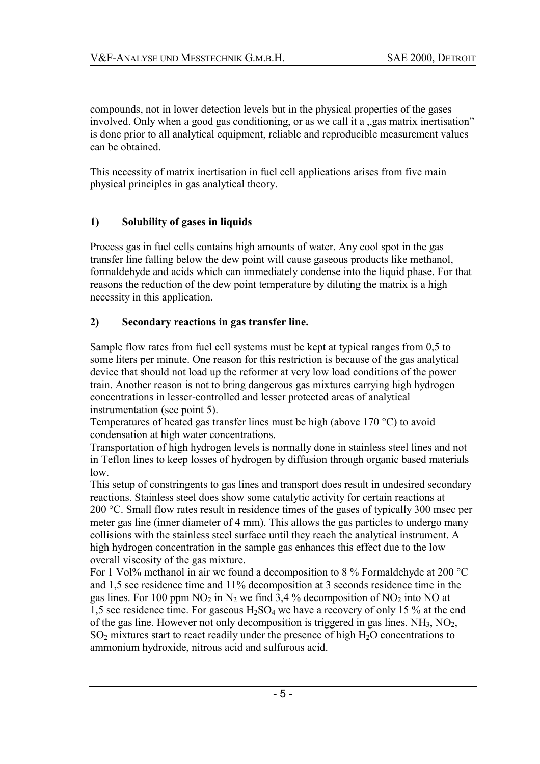compounds, not in lower detection levels but in the physical properties of the gases involved. Only when a good gas conditioning, or as we call it a "gas matrix inertisation" is done prior to all analytical equipment, reliable and reproducible measurement values can be obtained.

This necessity of matrix inertisation in fuel cell applications arises from five main physical principles in gas analytical theory.

### **1) Solubility of gases in liquids**

Process gas in fuel cells contains high amounts of water. Any cool spot in the gas transfer line falling below the dew point will cause gaseous products like methanol, formaldehyde and acids which can immediately condense into the liquid phase. For that reasons the reduction of the dew point temperature by diluting the matrix is a high necessity in this application.

### **2) Secondary reactions in gas transfer line.**

Sample flow rates from fuel cell systems must be kept at typical ranges from 0,5 to some liters per minute. One reason for this restriction is because of the gas analytical device that should not load up the reformer at very low load conditions of the power train. Another reason is not to bring dangerous gas mixtures carrying high hydrogen concentrations in lesser-controlled and lesser protected areas of analytical instrumentation (see point 5).

Temperatures of heated gas transfer lines must be high (above 170 °C) to avoid condensation at high water concentrations.

Transportation of high hydrogen levels is normally done in stainless steel lines and not in Teflon lines to keep losses of hydrogen by diffusion through organic based materials low.

This setup of constringents to gas lines and transport does result in undesired secondary reactions. Stainless steel does show some catalytic activity for certain reactions at 200 °C. Small flow rates result in residence times of the gases of typically 300 msec per meter gas line (inner diameter of 4 mm). This allows the gas particles to undergo many collisions with the stainless steel surface until they reach the analytical instrument. A high hydrogen concentration in the sample gas enhances this effect due to the low overall viscosity of the gas mixture.

For 1 Vol<sup>%</sup> methanol in air we found a decomposition to 8 % Formaldehyde at 200 °C and 1,5 sec residence time and 11% decomposition at 3 seconds residence time in the gas lines. For 100 ppm  $NO_2$  in  $N_2$  we find 3,4 % decomposition of  $NO_2$  into  $NO$  at 1,5 sec residence time. For gaseous  $H_2SO_4$  we have a recovery of only 15 % at the end of the gas line. However not only decomposition is triggered in gas lines.  $NH<sub>3</sub>$ ,  $NO<sub>2</sub>$ ,  $SO<sub>2</sub>$  mixtures start to react readily under the presence of high  $H<sub>2</sub>O$  concentrations to ammonium hydroxide, nitrous acid and sulfurous acid.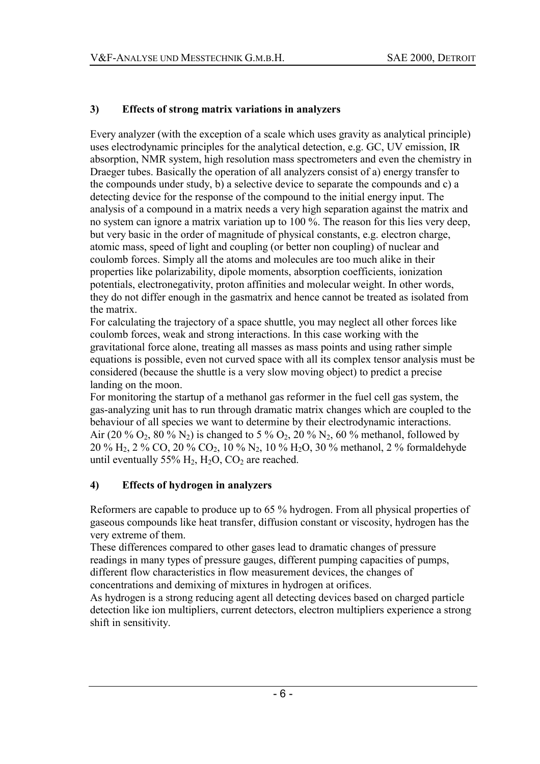## **3) Effects of strong matrix variations in analyzers**

Every analyzer (with the exception of a scale which uses gravity as analytical principle) uses electrodynamic principles for the analytical detection, e.g. GC, UV emission, IR absorption, NMR system, high resolution mass spectrometers and even the chemistry in Draeger tubes. Basically the operation of all analyzers consist of a) energy transfer to the compounds under study, b) a selective device to separate the compounds and c) a detecting device for the response of the compound to the initial energy input. The analysis of a compound in a matrix needs a very high separation against the matrix and no system can ignore a matrix variation up to 100 %. The reason for this lies very deep, but very basic in the order of magnitude of physical constants, e.g. electron charge, atomic mass, speed of light and coupling (or better non coupling) of nuclear and coulomb forces. Simply all the atoms and molecules are too much alike in their properties like polarizability, dipole moments, absorption coefficients, ionization potentials, electronegativity, proton affinities and molecular weight. In other words, they do not differ enough in the gasmatrix and hence cannot be treated as isolated from the matrix.

For calculating the trajectory of a space shuttle, you may neglect all other forces like coulomb forces, weak and strong interactions. In this case working with the gravitational force alone, treating all masses as mass points and using rather simple equations is possible, even not curved space with all its complex tensor analysis must be considered (because the shuttle is a very slow moving object) to predict a precise landing on the moon.

For monitoring the startup of a methanol gas reformer in the fuel cell gas system, the gas-analyzing unit has to run through dramatic matrix changes which are coupled to the behaviour of all species we want to determine by their electrodynamic interactions. Air (20 % O<sub>2</sub>, 80 % N<sub>2</sub>) is changed to 5 % O<sub>2</sub>, 20 % N<sub>2</sub>, 60 % methanol, followed by 20 % H2, 2 % CO, 20 % CO2, 10 % N2, 10 % H2O, 30 % methanol, 2 % formaldehyde until eventually 55%  $H_2$ ,  $H_2O$ ,  $CO_2$  are reached.

### **4) Effects of hydrogen in analyzers**

Reformers are capable to produce up to 65 % hydrogen. From all physical properties of gaseous compounds like heat transfer, diffusion constant or viscosity, hydrogen has the very extreme of them.

These differences compared to other gases lead to dramatic changes of pressure readings in many types of pressure gauges, different pumping capacities of pumps, different flow characteristics in flow measurement devices, the changes of concentrations and demixing of mixtures in hydrogen at orifices.

As hydrogen is a strong reducing agent all detecting devices based on charged particle detection like ion multipliers, current detectors, electron multipliers experience a strong shift in sensitivity.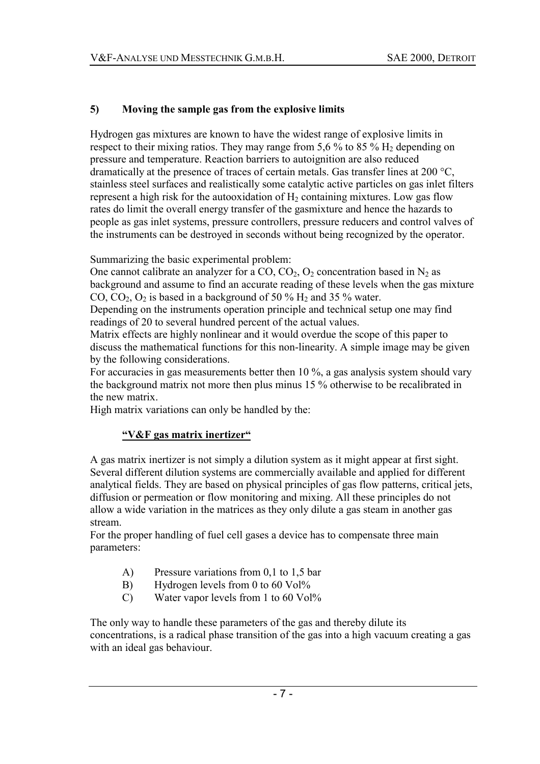## **5) Moving the sample gas from the explosive limits**

Hydrogen gas mixtures are known to have the widest range of explosive limits in respect to their mixing ratios. They may range from 5.6 % to 85 %  $H_2$  depending on pressure and temperature. Reaction barriers to autoignition are also reduced dramatically at the presence of traces of certain metals. Gas transfer lines at 200 °C, stainless steel surfaces and realistically some catalytic active particles on gas inlet filters represent a high risk for the autooxidation of  $H<sub>2</sub>$  containing mixtures. Low gas flow rates do limit the overall energy transfer of the gasmixture and hence the hazards to people as gas inlet systems, pressure controllers, pressure reducers and control valves of the instruments can be destroyed in seconds without being recognized by the operator.

Summarizing the basic experimental problem:

One cannot calibrate an analyzer for a  $CO$ ,  $CO<sub>2</sub>$ ,  $O<sub>2</sub>$  concentration based in N<sub>2</sub> as background and assume to find an accurate reading of these levels when the gas mixture CO,  $CO_2$ ,  $O_2$  is based in a background of 50 % H<sub>2</sub> and 35 % water.

Depending on the instruments operation principle and technical setup one may find readings of 20 to several hundred percent of the actual values.

Matrix effects are highly nonlinear and it would overdue the scope of this paper to discuss the mathematical functions for this non-linearity. A simple image may be given by the following considerations.

For accuracies in gas measurements better then 10 %, a gas analysis system should vary the background matrix not more then plus minus 15 % otherwise to be recalibrated in the new matrix.

High matrix variations can only be handled by the:

# **ìV&F gas matrix inertizerì**

A gas matrix inertizer is not simply a dilution system as it might appear at first sight. Several different dilution systems are commercially available and applied for different analytical fields. They are based on physical principles of gas flow patterns, critical jets, diffusion or permeation or flow monitoring and mixing. All these principles do not allow a wide variation in the matrices as they only dilute a gas steam in another gas stream.

For the proper handling of fuel cell gases a device has to compensate three main parameters:

- A) Pressure variations from 0,1 to 1,5 bar
- B) Hydrogen levels from 0 to 60 Vol<sup>%</sup>
- C) Water vapor levels from 1 to 60 Vol<sup>%</sup>

The only way to handle these parameters of the gas and thereby dilute its concentrations, is a radical phase transition of the gas into a high vacuum creating a gas with an ideal gas behaviour.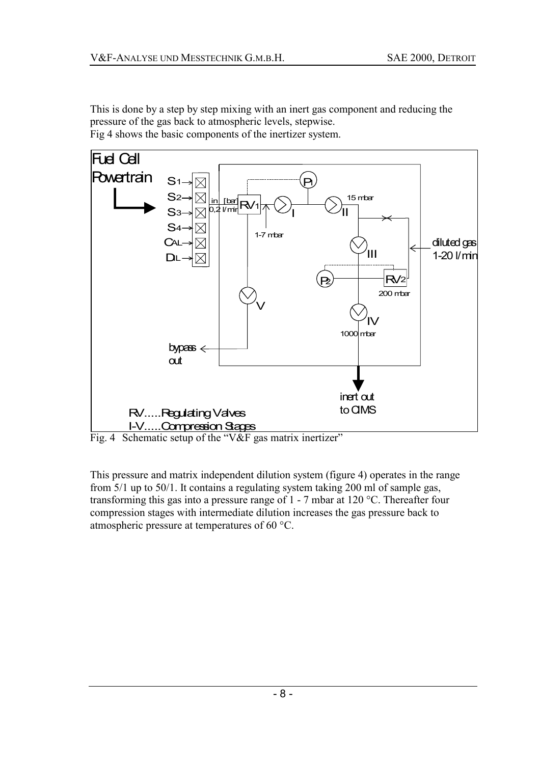This is done by a step by step mixing with an inert gas component and reducing the pressure of the gas back to atmospheric levels, stepwise. Fig 4 shows the basic components of the inertizer system.



Fig. 4 Schematic setup of the "V&F gas matrix inertizer"

This pressure and matrix independent dilution system (figure 4) operates in the range from 5/1 up to 50/1. It contains a regulating system taking 200 ml of sample gas, transforming this gas into a pressure range of 1 - 7 mbar at 120 °C. Thereafter four compression stages with intermediate dilution increases the gas pressure back to atmospheric pressure at temperatures of 60 °C.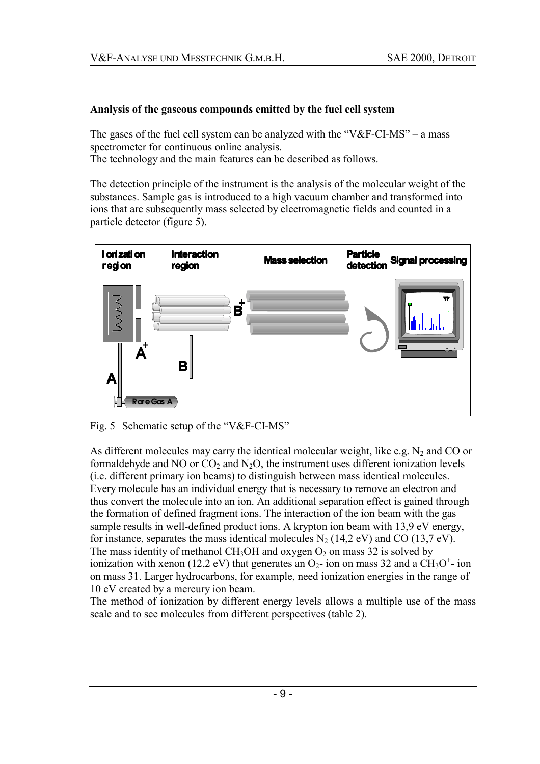#### **Analysis of the gaseous compounds emitted by the fuel cell system**

The gases of the fuel cell system can be analyzed with the " $V&F-CI-MS$ " – a mass spectrometer for continuous online analysis. The technology and the main features can be described as follows.

The detection principle of the instrument is the analysis of the molecular weight of the substances. Sample gas is introduced to a high vacuum chamber and transformed into ions that are subsequently mass selected by electromagnetic fields and counted in a particle detector (figure 5).



Fig. 5 Schematic setup of the " $V&F-CI-MS$ "

As different molecules may carry the identical molecular weight, like e.g.  $N_2$  and CO or formaldehyde and NO or  $CO<sub>2</sub>$  and N<sub>2</sub>O, the instrument uses different ionization levels (i.e. different primary ion beams) to distinguish between mass identical molecules. Every molecule has an individual energy that is necessary to remove an electron and thus convert the molecule into an ion. An additional separation effect is gained through the formation of defined fragment ions. The interaction of the ion beam with the gas sample results in well-defined product ions. A krypton ion beam with 13,9 eV energy, for instance, separates the mass identical molecules  $N_2$  (14,2 eV) and CO (13,7 eV). The mass identity of methanol CH<sub>3</sub>OH and oxygen  $O_2$  on mass 32 is solved by ionization with xenon (12,2 eV) that generates an  $O_2$ - ion on mass 32 and a CH<sub>3</sub>O<sup>+</sup>- ion on mass 31. Larger hydrocarbons, for example, need ionization energies in the range of 10 eV created by a mercury ion beam.

The method of ionization by different energy levels allows a multiple use of the mass scale and to see molecules from different perspectives (table 2).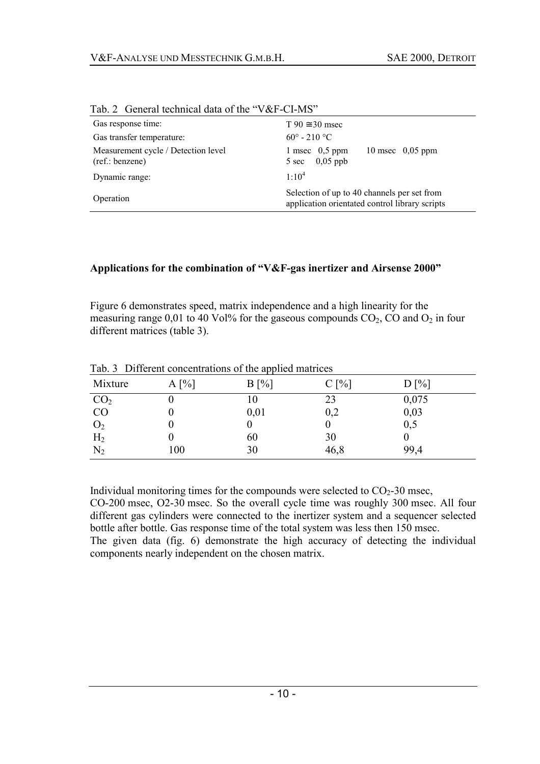| $140.2$ Octivial definition data of the $\alpha$ oct -CI-MD |                                                                                               |  |
|-------------------------------------------------------------|-----------------------------------------------------------------------------------------------|--|
| Gas response time:                                          | $T 90 \approx 30$ msec                                                                        |  |
| Gas transfer temperature:                                   | $60^{\circ}$ - 210 °C                                                                         |  |
| Measurement cycle / Detection level<br>(ref.:benzene)       | 1 msec $0.5$ ppm<br>10 msec $0.05$ ppm<br>$0,05$ ppb<br>5 sec                                 |  |
| Dynamic range:                                              | $1:10^{4}$                                                                                    |  |
| Operation                                                   | Selection of up to 40 channels per set from<br>application orientated control library scripts |  |

Tab. 2. General technical data of the "V&E-CLMS"

#### Applications for the combination of "V&F-gas inertizer and Airsense 2000"

Figure 6 demonstrates speed, matrix independence and a high linearity for the measuring range 0,01 to 40 Vol% for the gaseous compounds  $CO<sub>2</sub>$ , CO and  $O<sub>2</sub>$  in four different matrices (table 3).

| Mixture                                                | $A[\%]$ | . .<br>$B[\%]$ | $C[\%]$ | $D[\%]$ |
|--------------------------------------------------------|---------|----------------|---------|---------|
| CO <sub>2</sub>                                        |         | l0             | 23      | 0,075   |
| CO                                                     |         | 0,01           | 0,2     | 0,03    |
|                                                        |         |                | U       | 0,5     |
|                                                        |         | 60             | 30      |         |
| $\begin{array}{c} \rm O_2 \rm H_2 \rm N_2 \end{array}$ | 100     | 30             | 46,8    | 99,4    |

Tab. 3 Different concentrations of the applied matrices

Individual monitoring times for the compounds were selected to  $CO<sub>2</sub>$ -30 msec,

CO-200 msec, O2-30 msec. So the overall cycle time was roughly 300 msec. All four different gas cylinders were connected to the inertizer system and a sequencer selected bottle after bottle. Gas response time of the total system was less then 150 msec. The given data (fig. 6) demonstrate the high accuracy of detecting the individual components nearly independent on the chosen matrix.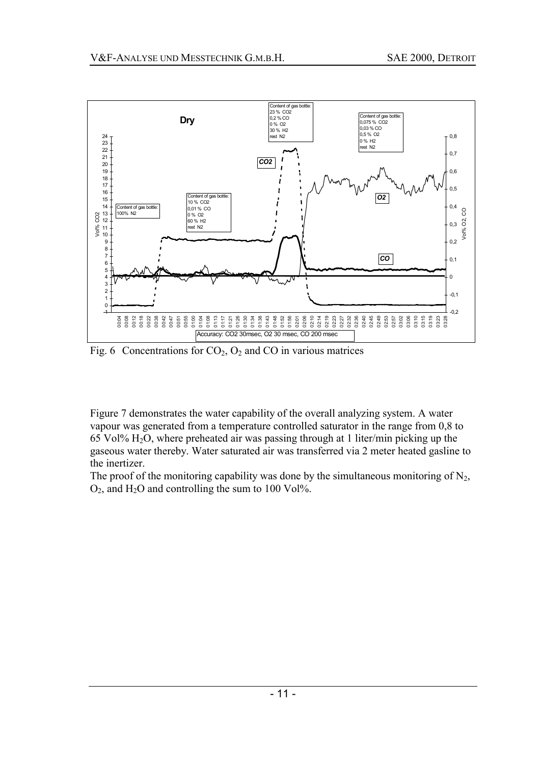

Fig. 6 Concentrations for  $CO<sub>2</sub>, O<sub>2</sub>$  and CO in various matrices

Figure 7 demonstrates the water capability of the overall analyzing system. A water vapour was generated from a temperature controlled saturator in the range from 0,8 to 65 Vol% H2O, where preheated air was passing through at 1 liter/min picking up the gaseous water thereby. Water saturated air was transferred via 2 meter heated gasline to the inertizer.

The proof of the monitoring capability was done by the simultaneous monitoring of  $N_2$ ,  $O_2$ , and H<sub>2</sub>O and controlling the sum to 100 Vol<sup> $\%$ </sup>.